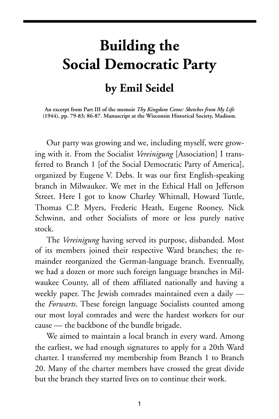## **Building the Social Democratic Party**

## **by Emil Seidel**

**An excerpt from Part III of the memoir** *Thy Kingdom Come: Sketches from My Life* **(1944), pp. 79-83; 86-87. Manuscript at the Wisconsin Historical Society, Madison.**

Our party was growing and we, including myself, were growing with it. From the Socialist *Vereinigung* [Association] I transferred to Branch 1 [of the Social Democratic Party of America], organized by Eugene V. Debs. It was our first English-speaking branch in Milwaukee. We met in the Ethical Hall on Jefferson Street. Here I got to know Charley Whitnall, Howard Tuttle, Thomas C.P. Myers, Frederic Heath, Eugene Rooney, Nick Schwinn, and other Socialists of more or less purely native stock.

The *Vereinigung* having served its purpose, disbanded. Most of its members joined their respective Ward branches; the remainder reorganized the German-language branch. Eventually, we had a dozen or more such foreign language branches in Milwaukee County, all of them affiliated nationally and having a weekly paper. The Jewish comrades maintained even a daily the *Forwarts*. These foreign language Socialists counted among our most loyal comrades and were the hardest workers for our cause — the backbone of the bundle brigade.

We aimed to maintain a local branch in every ward. Among the earliest, we had enough signatures to apply for a 20th Ward charter. I transferred my membership from Branch 1 to Branch 20. Many of the charter members have crossed the great divide but the branch they started lives on to continue their work.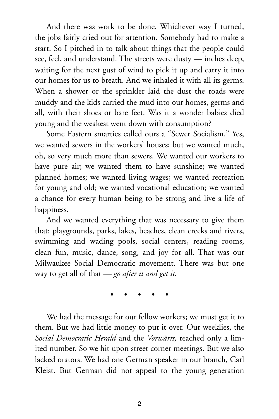And there was work to be done. Whichever way I turned, the jobs fairly cried out for attention. Somebody had to make a start. So I pitched in to talk about things that the people could see, feel, and understand. The streets were dusty — inches deep, waiting for the next gust of wind to pick it up and carry it into our homes for us to breath. And we inhaled it with all its germs. When a shower or the sprinkler laid the dust the roads were muddy and the kids carried the mud into our homes, germs and all, with their shoes or bare feet. Was it a wonder babies died young and the weakest went down with consumption?

Some Eastern smarties called ours a "Sewer Socialism." Yes, we wanted sewers in the workers' houses; but we wanted much, oh, so very much more than sewers. We wanted our workers to have pure air; we wanted them to have sunshine; we wanted planned homes; we wanted living wages; we wanted recreation for young and old; we wanted vocational education; we wanted a chance for every human being to be strong and live a life of happiness.

And we wanted everything that was necessary to give them that: playgrounds, parks, lakes, beaches, clean creeks and rivers, swimming and wading pools, social centers, reading rooms, clean fun, music, dance, song, and joy for all. That was our Milwaukee Social Democratic movement. There was but one way to get all of that — *go after it and get it.*

• • • • •

We had the message for our fellow workers; we must get it to them. But we had little money to put it over. Our weeklies, the *Social Democratic Herald* and the *Vorwärts,* reached only a limited number. So we hit upon street corner meetings. But we also lacked orators. We had one German speaker in our branch, Carl Kleist. But German did not appeal to the young generation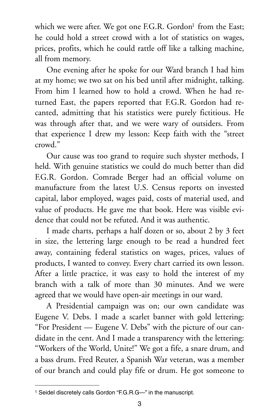which we were after. We got one F.G.R. Gordon<sup>1</sup> from the East; he could hold a street crowd with a lot of statistics on wages, prices, profits, which he could rattle off like a talking machine, all from memory.

One evening after he spoke for our Ward branch I had him at my home; we two sat on his bed until after midnight, talking. From him I learned how to hold a crowd. When he had returned East, the papers reported that F.G.R. Gordon had recanted, admitting that his statistics were purely fictitious. He was through after that, and we were wary of outsiders. From that experience I drew my lesson: Keep faith with the "street crowd."

Our cause was too grand to require such shyster methods, I held. With genuine statistics we could do much better than did F.G.R. Gordon. Comrade Berger had an official volume on manufacture from the latest U.S. Census reports on invested capital, labor employed, wages paid, costs of material used, and value of products. He gave me that book. Here was visible evidence that could not be refuted. And it was authentic.

I made charts, perhaps a half dozen or so, about 2 by 3 feet in size, the lettering large enough to be read a hundred feet away, containing federal statistics on wages, prices, values of products, I wanted to convey. Every chart carried its own lesson. After a little practice, it was easy to hold the interest of my branch with a talk of more than 30 minutes. And we were agreed that we would have open-air meetings in our ward.

A Presidential campaign was on; our own candidate was Eugene V. Debs. I made a scarlet banner with gold lettering: "For President — Eugene V. Debs" with the picture of our candidate in the cent. And I made a transparency with the lettering: "Workers of the World, Unite!" We got a fife, a snare drum, and a bass drum. Fred Reuter, a Spanish War veteran, was a member of our branch and could play fife or drum. He got someone to

<span id="page-2-0"></span><sup>1</sup> Seidel discretely calls Gordon "F.G.R.G—" in the manuscript.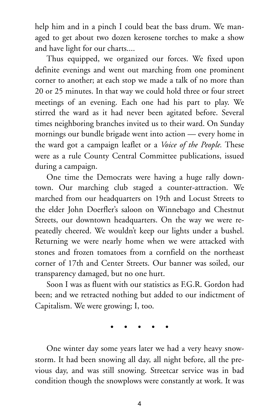help him and in a pinch I could beat the bass drum. We managed to get about two dozen kerosene torches to make a show and have light for our charts....

Thus equipped, we organized our forces. We fixed upon definite evenings and went out marching from one prominent corner to another; at each stop we made a talk of no more than 20 or 25 minutes. In that way we could hold three or four street meetings of an evening. Each one had his part to play. We stirred the ward as it had never been agitated before. Several times neighboring branches invited us to their ward. On Sunday mornings our bundle brigade went into action — every home in the ward got a campaign leaflet or a *Voice of the People.* These were as a rule County Central Committee publications, issued during a campaign.

One time the Democrats were having a huge rally downtown. Our marching club staged a counter-attraction. We marched from our headquarters on 19th and Locust Streets to the elder John Doerfler's saloon on Winnebago and Chestnut Streets, our downtown headquarters. On the way we were repeatedly cheered. We wouldn't keep our lights under a bushel. Returning we were nearly home when we were attacked with stones and frozen tomatoes from a cornfield on the northeast corner of 17th and Center Streets. Our banner was soiled, our transparency damaged, but no one hurt.

Soon I was as fluent with our statistics as F.G.R. Gordon had been; and we retracted nothing but added to our indictment of Capitalism. We were growing; I, too.

• • • • •

One winter day some years later we had a very heavy snowstorm. It had been snowing all day, all night before, all the previous day, and was still snowing. Streetcar service was in bad condition though the snowplows were constantly at work. It was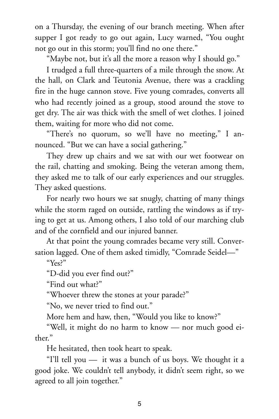on a Thursday, the evening of our branch meeting. When after supper I got ready to go out again, Lucy warned, "You ought not go out in this storm; you'll find no one there."

"Maybe not, but it's all the more a reason why I should go."

I trudged a full three-quarters of a mile through the snow. At the hall, on Clark and Teutonia Avenue, there was a crackling fire in the huge cannon stove. Five young comrades, converts all who had recently joined as a group, stood around the stove to get dry. The air was thick with the smell of wet clothes. I joined them, waiting for more who did not come.

"There's no quorum, so we'll have no meeting," I announced. "But we can have a social gathering."

They drew up chairs and we sat with our wet footwear on the rail, chatting and smoking. Being the veteran among them, they asked me to talk of our early experiences and our struggles. They asked questions.

For nearly two hours we sat snugly, chatting of many things while the storm raged on outside, rattling the windows as if trying to get at us. Among others, I also told of our marching club and of the cornfield and our injured banner.

At that point the young comrades became very still. Conversation lagged. One of them asked timidly, "Comrade Seidel—"

"Yes?"

"D-did you ever find out?"

"Find out what?"

"Whoever threw the stones at your parade?"

"No, we never tried to find out."

More hem and haw, then, "Would you like to know?"

"Well, it might do no harm to know — nor much good either."

He hesitated, then took heart to speak.

"I'll tell you — it was a bunch of us boys. We thought it a good joke. We couldn't tell anybody, it didn't seem right, so we agreed to all join together."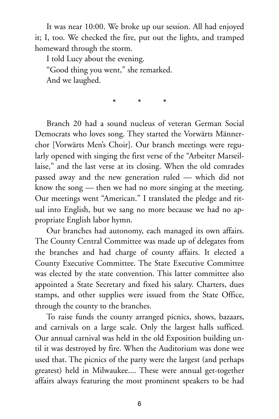It was near 10:00. We broke up our session. All had enjoyed it; I, too. We checked the fire, put out the lights, and tramped homeward through the storm.

I told Lucy about the evening.

"Good thing you went," she remarked. And we laughed.

**\* \* \*** 

Branch 20 had a sound nucleus of veteran German Social Democrats who loves song. They started the Vorwärts Männerchor [Vorwärts Men's Choir]. Our branch meetings were regularly opened with singing the first verse of the "Arbeiter Marseillaise," and the last verse at its closing. When the old comrades passed away and the new generation ruled — which did not know the song — then we had no more singing at the meeting. Our meetings went "American." I translated the pledge and ritual into English, but we sang no more because we had no appropriate English labor hymn.

Our branches had autonomy, each managed its own affairs. The County Central Committee was made up of delegates from the branches and had charge of county affairs. It elected a County Executive Committee. The State Executive Committee was elected by the state convention. This latter committee also appointed a State Secretary and fixed his salary. Charters, dues stamps, and other supplies were issued from the State Office, through the county to the branches.

To raise funds the county arranged picnics, shows, bazaars, and carnivals on a large scale. Only the largest halls sufficed. Our annual carnival was held in the old Exposition building until it was destroyed by fire. When the Auditorium was done wee used that. The picnics of the party were the largest (and perhaps greatest) held in Milwaukee.... These were annual get-together affairs always featuring the most prominent speakers to be had